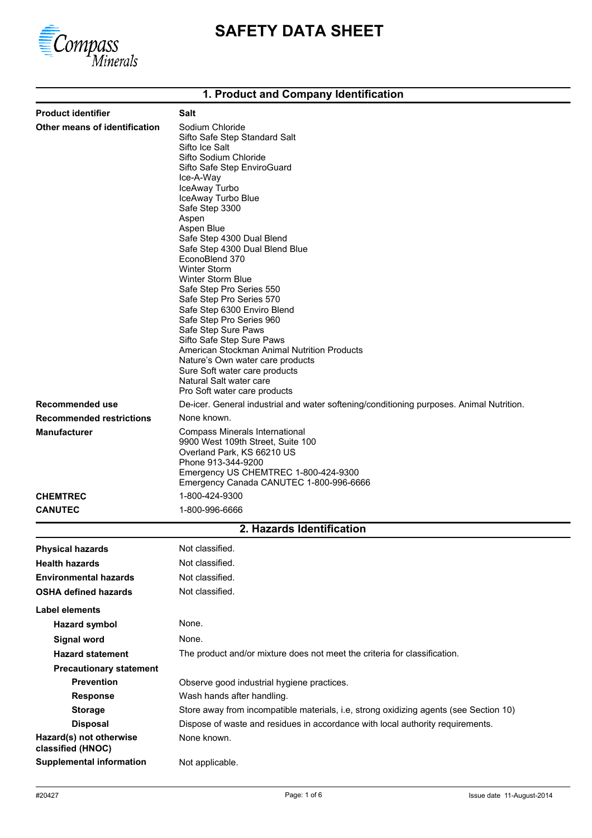

# **SAFETY DATA SHEET**

## **1. Product and Company Identification**

| <b>Product identifier</b>                    | Salt                                                                                                                                                                                                                                                                                                                                                                                                                                                                                                                                                                                                                                                                                                              |  |
|----------------------------------------------|-------------------------------------------------------------------------------------------------------------------------------------------------------------------------------------------------------------------------------------------------------------------------------------------------------------------------------------------------------------------------------------------------------------------------------------------------------------------------------------------------------------------------------------------------------------------------------------------------------------------------------------------------------------------------------------------------------------------|--|
| Other means of identification                | Sodium Chloride<br>Sifto Safe Step Standard Salt<br>Sifto Ice Salt<br>Sifto Sodium Chloride<br>Sifto Safe Step EnviroGuard<br>Ice-A-Way<br>IceAway Turbo<br>IceAway Turbo Blue<br>Safe Step 3300<br>Aspen<br>Aspen Blue<br>Safe Step 4300 Dual Blend<br>Safe Step 4300 Dual Blend Blue<br>EconoBlend 370<br><b>Winter Storm</b><br><b>Winter Storm Blue</b><br>Safe Step Pro Series 550<br>Safe Step Pro Series 570<br>Safe Step 6300 Enviro Blend<br>Safe Step Pro Series 960<br>Safe Step Sure Paws<br>Sifto Safe Step Sure Paws<br>American Stockman Animal Nutrition Products<br>Nature's Own water care products<br>Sure Soft water care products<br>Natural Salt water care<br>Pro Soft water care products |  |
| Recommended use                              | De-icer. General industrial and water softening/conditioning purposes. Animal Nutrition.                                                                                                                                                                                                                                                                                                                                                                                                                                                                                                                                                                                                                          |  |
| <b>Recommended restrictions</b>              | None known.                                                                                                                                                                                                                                                                                                                                                                                                                                                                                                                                                                                                                                                                                                       |  |
| <b>Manufacturer</b>                          | Compass Minerals International<br>9900 West 109th Street, Suite 100<br>Overland Park, KS 66210 US<br>Phone 913-344-9200<br>Emergency US CHEMTREC 1-800-424-9300<br>Emergency Canada CANUTEC 1-800-996-6666                                                                                                                                                                                                                                                                                                                                                                                                                                                                                                        |  |
| <b>CHEMTREC</b>                              | 1-800-424-9300                                                                                                                                                                                                                                                                                                                                                                                                                                                                                                                                                                                                                                                                                                    |  |
| <b>CANUTEC</b>                               | 1-800-996-6666                                                                                                                                                                                                                                                                                                                                                                                                                                                                                                                                                                                                                                                                                                    |  |
|                                              | 2. Hazards Identification                                                                                                                                                                                                                                                                                                                                                                                                                                                                                                                                                                                                                                                                                         |  |
| <b>Physical hazards</b>                      | Not classified                                                                                                                                                                                                                                                                                                                                                                                                                                                                                                                                                                                                                                                                                                    |  |
| <b>Health hazards</b>                        | Not classified.                                                                                                                                                                                                                                                                                                                                                                                                                                                                                                                                                                                                                                                                                                   |  |
| <b>Environmental hazards</b>                 | Not classified.                                                                                                                                                                                                                                                                                                                                                                                                                                                                                                                                                                                                                                                                                                   |  |
| <b>OSHA defined hazards</b>                  | Not classified.                                                                                                                                                                                                                                                                                                                                                                                                                                                                                                                                                                                                                                                                                                   |  |
| Label elements                               |                                                                                                                                                                                                                                                                                                                                                                                                                                                                                                                                                                                                                                                                                                                   |  |
| <b>Hazard symbol</b>                         | None.                                                                                                                                                                                                                                                                                                                                                                                                                                                                                                                                                                                                                                                                                                             |  |
|                                              |                                                                                                                                                                                                                                                                                                                                                                                                                                                                                                                                                                                                                                                                                                                   |  |
| <b>Signal word</b>                           | None.                                                                                                                                                                                                                                                                                                                                                                                                                                                                                                                                                                                                                                                                                                             |  |
| <b>Hazard statement</b>                      | The product and/or mixture does not meet the criteria for classification.                                                                                                                                                                                                                                                                                                                                                                                                                                                                                                                                                                                                                                         |  |
| <b>Precautionary statement</b>               |                                                                                                                                                                                                                                                                                                                                                                                                                                                                                                                                                                                                                                                                                                                   |  |
| <b>Prevention</b>                            | Observe good industrial hygiene practices.                                                                                                                                                                                                                                                                                                                                                                                                                                                                                                                                                                                                                                                                        |  |
| <b>Response</b>                              | Wash hands after handling.                                                                                                                                                                                                                                                                                                                                                                                                                                                                                                                                                                                                                                                                                        |  |
| <b>Storage</b><br><b>Disposal</b>            | Store away from incompatible materials, i.e, strong oxidizing agents (see Section 10)<br>Dispose of waste and residues in accordance with local authority requirements.                                                                                                                                                                                                                                                                                                                                                                                                                                                                                                                                           |  |
| Hazard(s) not otherwise<br>classified (HNOC) | None known.                                                                                                                                                                                                                                                                                                                                                                                                                                                                                                                                                                                                                                                                                                       |  |
| <b>Supplemental information</b>              | Not applicable.                                                                                                                                                                                                                                                                                                                                                                                                                                                                                                                                                                                                                                                                                                   |  |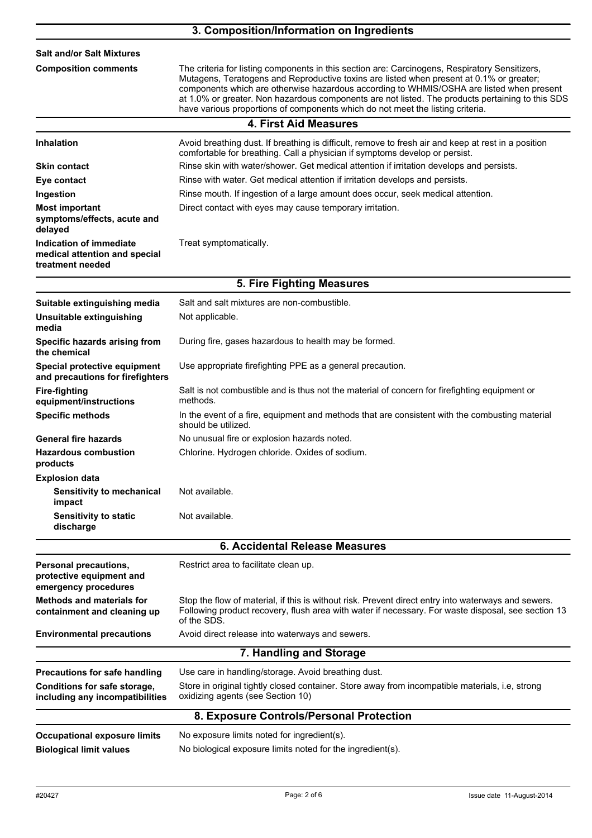|                                                                              | 3. Composition/Information on Ingredients                                                                                                                                                                                                                                                                                                                                                                                                                                    |  |
|------------------------------------------------------------------------------|------------------------------------------------------------------------------------------------------------------------------------------------------------------------------------------------------------------------------------------------------------------------------------------------------------------------------------------------------------------------------------------------------------------------------------------------------------------------------|--|
| <b>Salt and/or Salt Mixtures</b>                                             |                                                                                                                                                                                                                                                                                                                                                                                                                                                                              |  |
| <b>Composition comments</b>                                                  | The criteria for listing components in this section are: Carcinogens, Respiratory Sensitizers,<br>Mutagens, Teratogens and Reproductive toxins are listed when present at 0.1% or greater;<br>components which are otherwise hazardous according to WHMIS/OSHA are listed when present<br>at 1.0% or greater. Non hazardous components are not listed. The products pertaining to this SDS<br>have various proportions of components which do not meet the listing criteria. |  |
|                                                                              | <b>4. First Aid Measures</b>                                                                                                                                                                                                                                                                                                                                                                                                                                                 |  |
| <b>Inhalation</b>                                                            | Avoid breathing dust. If breathing is difficult, remove to fresh air and keep at rest in a position<br>comfortable for breathing. Call a physician if symptoms develop or persist.                                                                                                                                                                                                                                                                                           |  |
| <b>Skin contact</b>                                                          | Rinse skin with water/shower. Get medical attention if irritation develops and persists.                                                                                                                                                                                                                                                                                                                                                                                     |  |
| Eye contact                                                                  | Rinse with water. Get medical attention if irritation develops and persists.                                                                                                                                                                                                                                                                                                                                                                                                 |  |
| Ingestion                                                                    | Rinse mouth. If ingestion of a large amount does occur, seek medical attention.                                                                                                                                                                                                                                                                                                                                                                                              |  |
| <b>Most important</b><br>symptoms/effects, acute and<br>delayed              | Direct contact with eyes may cause temporary irritation.                                                                                                                                                                                                                                                                                                                                                                                                                     |  |
| Indication of immediate<br>medical attention and special<br>treatment needed | Treat symptomatically.                                                                                                                                                                                                                                                                                                                                                                                                                                                       |  |
|                                                                              | 5. Fire Fighting Measures                                                                                                                                                                                                                                                                                                                                                                                                                                                    |  |
| Suitable extinguishing media                                                 | Salt and salt mixtures are non-combustible.                                                                                                                                                                                                                                                                                                                                                                                                                                  |  |
| Unsuitable extinguishing<br>media                                            | Not applicable.                                                                                                                                                                                                                                                                                                                                                                                                                                                              |  |
| Specific hazards arising from<br>the chemical                                | During fire, gases hazardous to health may be formed.                                                                                                                                                                                                                                                                                                                                                                                                                        |  |
| Special protective equipment<br>and precautions for firefighters             | Use appropriate firefighting PPE as a general precaution.                                                                                                                                                                                                                                                                                                                                                                                                                    |  |
| <b>Fire-fighting</b><br>equipment/instructions                               | Salt is not combustible and is thus not the material of concern for firefighting equipment or<br>methods.                                                                                                                                                                                                                                                                                                                                                                    |  |
| <b>Specific methods</b>                                                      | In the event of a fire, equipment and methods that are consistent with the combusting material<br>should be utilized.                                                                                                                                                                                                                                                                                                                                                        |  |
| <b>General fire hazards</b>                                                  | No unusual fire or explosion hazards noted.                                                                                                                                                                                                                                                                                                                                                                                                                                  |  |
| <b>Hazardous combustion</b><br>products                                      | Chlorine. Hydrogen chloride. Oxides of sodium.                                                                                                                                                                                                                                                                                                                                                                                                                               |  |
| <b>Explosion data</b><br><b>Sensitivity to mechanical</b><br>impact          | Not available.                                                                                                                                                                                                                                                                                                                                                                                                                                                               |  |
| <b>Sensitivity to static</b><br>discharge                                    | Not available.                                                                                                                                                                                                                                                                                                                                                                                                                                                               |  |
|                                                                              | <b>6. Accidental Release Measures</b>                                                                                                                                                                                                                                                                                                                                                                                                                                        |  |
| Personal precautions,<br>protective equipment and                            | Restrict area to facilitate clean up.                                                                                                                                                                                                                                                                                                                                                                                                                                        |  |
| emergency procedures                                                         |                                                                                                                                                                                                                                                                                                                                                                                                                                                                              |  |
| <b>Methods and materials for</b><br>containment and cleaning up              | Stop the flow of material, if this is without risk. Prevent direct entry into waterways and sewers.<br>Following product recovery, flush area with water if necessary. For waste disposal, see section 13<br>of the SDS.                                                                                                                                                                                                                                                     |  |
| <b>Environmental precautions</b>                                             | Avoid direct release into waterways and sewers.                                                                                                                                                                                                                                                                                                                                                                                                                              |  |
|                                                                              | 7. Handling and Storage                                                                                                                                                                                                                                                                                                                                                                                                                                                      |  |
| <b>Precautions for safe handling</b>                                         | Use care in handling/storage. Avoid breathing dust.                                                                                                                                                                                                                                                                                                                                                                                                                          |  |
| Conditions for safe storage,<br>including any incompatibilities              | Store in original tightly closed container. Store away from incompatible materials, i.e, strong<br>oxidizing agents (see Section 10)                                                                                                                                                                                                                                                                                                                                         |  |
|                                                                              | 8. Exposure Controls/Personal Protection                                                                                                                                                                                                                                                                                                                                                                                                                                     |  |
| <b>Occupational exposure limits</b>                                          | No exposure limits noted for ingredient(s).                                                                                                                                                                                                                                                                                                                                                                                                                                  |  |
| <b>Biological limit values</b>                                               | No biological exposure limits noted for the ingredient(s).                                                                                                                                                                                                                                                                                                                                                                                                                   |  |
|                                                                              |                                                                                                                                                                                                                                                                                                                                                                                                                                                                              |  |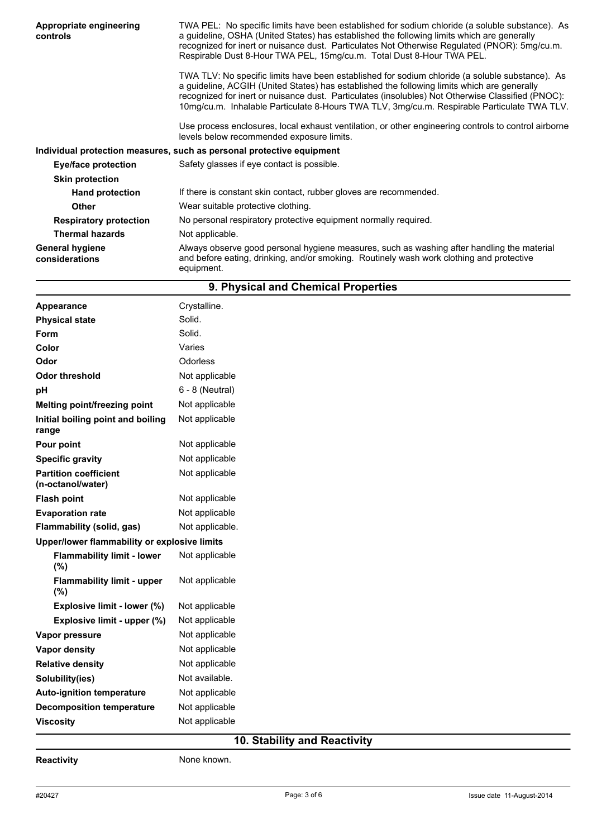| Appropriate engineering<br>controls      | TWA PEL: No specific limits have been established for sodium chloride (a soluble substance). As<br>a guideline, OSHA (United States) has established the following limits which are generally<br>recognized for inert or nuisance dust. Particulates Not Otherwise Regulated (PNOR): 5mg/cu.m.<br>Respirable Dust 8-Hour TWA PEL, 15mg/cu.m. Total Dust 8-Hour TWA PEL.                            |  |
|------------------------------------------|----------------------------------------------------------------------------------------------------------------------------------------------------------------------------------------------------------------------------------------------------------------------------------------------------------------------------------------------------------------------------------------------------|--|
|                                          | TWA TLV: No specific limits have been established for sodium chloride (a soluble substance). As<br>a quideline, ACGIH (United States) has established the following limits which are generally<br>recognized for inert or nuisance dust. Particulates (insolubles) Not Otherwise Classified (PNOC):<br>10mg/cu.m. Inhalable Particulate 8-Hours TWA TLV, 3mg/cu.m. Respirable Particulate TWA TLV. |  |
|                                          | Use process enclosures, local exhaust ventilation, or other engineering controls to control airborne<br>levels below recommended exposure limits.                                                                                                                                                                                                                                                  |  |
|                                          | Individual protection measures, such as personal protective equipment                                                                                                                                                                                                                                                                                                                              |  |
| Eye/face protection                      | Safety glasses if eye contact is possible.                                                                                                                                                                                                                                                                                                                                                         |  |
| <b>Skin protection</b>                   |                                                                                                                                                                                                                                                                                                                                                                                                    |  |
| <b>Hand protection</b>                   | If there is constant skin contact, rubber gloves are recommended.                                                                                                                                                                                                                                                                                                                                  |  |
| <b>Other</b>                             | Wear suitable protective clothing.                                                                                                                                                                                                                                                                                                                                                                 |  |
| <b>Respiratory protection</b>            | No personal respiratory protective equipment normally required.                                                                                                                                                                                                                                                                                                                                    |  |
| <b>Thermal hazards</b>                   | Not applicable.                                                                                                                                                                                                                                                                                                                                                                                    |  |
| <b>General hygiene</b><br>considerations | Always observe good personal hygiene measures, such as washing after handling the material<br>and before eating, drinking, and/or smoking. Routinely wash work clothing and protective<br>equipment.                                                                                                                                                                                               |  |

| 9. Physical and Chemical Properties               |                   |  |
|---------------------------------------------------|-------------------|--|
| Appearance                                        | Crystalline.      |  |
| <b>Physical state</b>                             | Solid.            |  |
| Form                                              | Solid.            |  |
| Color                                             | Varies            |  |
| Odor                                              | Odorless          |  |
| <b>Odor threshold</b>                             | Not applicable    |  |
| pH                                                | $6 - 8$ (Neutral) |  |
| <b>Melting point/freezing point</b>               | Not applicable    |  |
| Initial boiling point and boiling<br>range        | Not applicable    |  |
| Pour point                                        | Not applicable    |  |
| <b>Specific gravity</b>                           | Not applicable    |  |
| <b>Partition coefficient</b><br>(n-octanol/water) | Not applicable    |  |
| <b>Flash point</b>                                | Not applicable    |  |
| <b>Evaporation rate</b>                           | Not applicable    |  |
| Flammability (solid, gas)                         | Not applicable.   |  |
| Upper/lower flammability or explosive limits      |                   |  |
| <b>Flammability limit - lower</b><br>(%)          | Not applicable    |  |
| <b>Flammability limit - upper</b><br>(%)          | Not applicable    |  |
| Explosive limit - lower (%)                       | Not applicable    |  |
| Explosive limit - upper (%)                       | Not applicable    |  |
| Vapor pressure                                    | Not applicable    |  |
| Vapor density                                     | Not applicable    |  |
| <b>Relative density</b>                           | Not applicable    |  |
| Solubility(ies)                                   | Not available.    |  |
| Auto-ignition temperature                         | Not applicable    |  |
| <b>Decomposition temperature</b>                  | Not applicable    |  |
| <b>Viscosity</b>                                  | Not applicable    |  |

## **10. Stability and Reactivity**

**Reactivity None known.**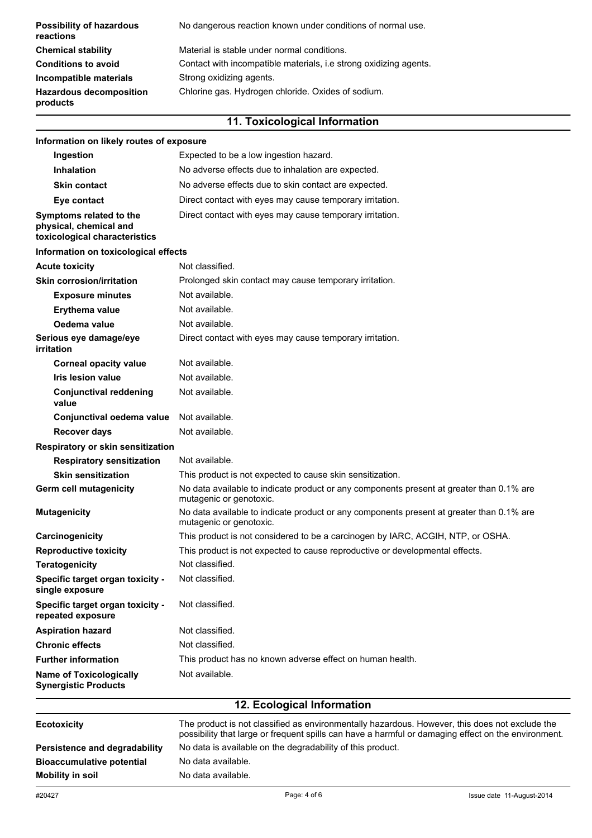| <b>Possibility of hazardous</b><br>reactions | No dangerous reaction known under conditions of normal use.       |
|----------------------------------------------|-------------------------------------------------------------------|
| <b>Chemical stability</b>                    | Material is stable under normal conditions.                       |
| <b>Conditions to avoid</b>                   | Contact with incompatible materials, i.e strong oxidizing agents. |
| Incompatible materials                       | Strong oxidizing agents.                                          |
| <b>Hazardous decomposition</b><br>products   | Chlorine gas. Hydrogen chloride. Oxides of sodium.                |

## **11. Toxicological Information**

| Information on likely routes of exposure                                           |                                                                                                                     |  |
|------------------------------------------------------------------------------------|---------------------------------------------------------------------------------------------------------------------|--|
| Ingestion                                                                          | Expected to be a low ingestion hazard.                                                                              |  |
| <b>Inhalation</b>                                                                  | No adverse effects due to inhalation are expected.                                                                  |  |
| <b>Skin contact</b>                                                                | No adverse effects due to skin contact are expected.                                                                |  |
| Eye contact                                                                        | Direct contact with eyes may cause temporary irritation.                                                            |  |
| Symptoms related to the<br>physical, chemical and<br>toxicological characteristics | Direct contact with eyes may cause temporary irritation.                                                            |  |
| Information on toxicological effects                                               |                                                                                                                     |  |
| <b>Acute toxicity</b>                                                              | Not classified.                                                                                                     |  |
| <b>Skin corrosion/irritation</b>                                                   | Prolonged skin contact may cause temporary irritation.                                                              |  |
| <b>Exposure minutes</b>                                                            | Not available.                                                                                                      |  |
| <b>Erythema value</b>                                                              | Not available.                                                                                                      |  |
| Oedema value                                                                       | Not available.                                                                                                      |  |
| Serious eye damage/eye<br>irritation                                               | Direct contact with eyes may cause temporary irritation.                                                            |  |
| <b>Corneal opacity value</b>                                                       | Not available.                                                                                                      |  |
| <b>Iris lesion value</b>                                                           | Not available.                                                                                                      |  |
| <b>Conjunctival reddening</b><br>value                                             | Not available.                                                                                                      |  |
| Conjunctival oedema value                                                          | Not available.                                                                                                      |  |
| <b>Recover days</b>                                                                | Not available.                                                                                                      |  |
| Respiratory or skin sensitization                                                  |                                                                                                                     |  |
| <b>Respiratory sensitization</b>                                                   | Not available.                                                                                                      |  |
| <b>Skin sensitization</b>                                                          | This product is not expected to cause skin sensitization.                                                           |  |
| Germ cell mutagenicity                                                             | No data available to indicate product or any components present at greater than 0.1% are<br>mutagenic or genotoxic. |  |
| <b>Mutagenicity</b>                                                                | No data available to indicate product or any components present at greater than 0.1% are<br>mutagenic or genotoxic. |  |
| Carcinogenicity                                                                    | This product is not considered to be a carcinogen by IARC, ACGIH, NTP, or OSHA.                                     |  |
| <b>Reproductive toxicity</b>                                                       | This product is not expected to cause reproductive or developmental effects.                                        |  |
| <b>Teratogenicity</b>                                                              | Not classified.                                                                                                     |  |
| Specific target organ toxicity -<br>single exposure                                | Not classified.                                                                                                     |  |
| Specific target organ toxicity -<br>repeated exposure                              | Not classified.                                                                                                     |  |
| <b>Aspiration hazard</b>                                                           | Not classified.                                                                                                     |  |
| <b>Chronic effects</b>                                                             | Not classified.                                                                                                     |  |
| <b>Further information</b>                                                         | This product has no known adverse effect on human health.                                                           |  |
| <b>Name of Toxicologically</b><br><b>Synergistic Products</b>                      | Not available.                                                                                                      |  |
|                                                                                    | 12 Ecological Information                                                                                           |  |

| <b>Ecotoxicity</b>               | The product is not classified as environmentally hazardous. However, this does not exclude the<br>possibility that large or frequent spills can have a harmful or damaging effect on the environment. |
|----------------------------------|-------------------------------------------------------------------------------------------------------------------------------------------------------------------------------------------------------|
| Persistence and degradability    | No data is available on the degradability of this product.                                                                                                                                            |
| <b>Bioaccumulative potential</b> | No data available.                                                                                                                                                                                    |
| Mobility in soil                 | No data available.                                                                                                                                                                                    |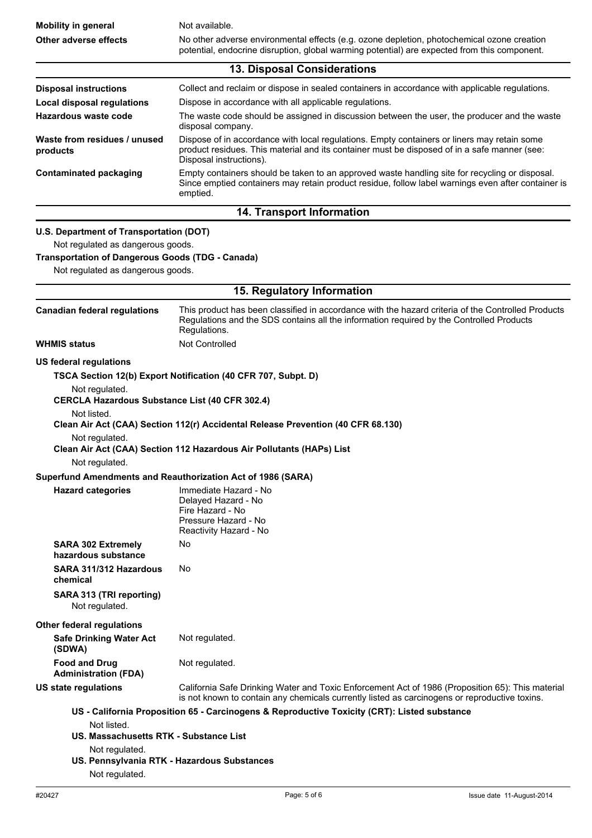| <b>Mobility in general</b>                                                                                                                                                   | Not available.                                                                                                                                                                                                                                                                |  |
|------------------------------------------------------------------------------------------------------------------------------------------------------------------------------|-------------------------------------------------------------------------------------------------------------------------------------------------------------------------------------------------------------------------------------------------------------------------------|--|
| Other adverse effects                                                                                                                                                        | No other adverse environmental effects (e.g. ozone depletion, photochemical ozone creation<br>potential, endocrine disruption, global warming potential) are expected from this component.                                                                                    |  |
|                                                                                                                                                                              | 13. Disposal Considerations                                                                                                                                                                                                                                                   |  |
| <b>Disposal instructions</b><br><b>Local disposal regulations</b><br><b>Hazardous waste code</b>                                                                             | Collect and reclaim or dispose in sealed containers in accordance with applicable regulations.<br>Dispose in accordance with all applicable regulations.<br>The waste code should be assigned in discussion between the user, the producer and the waste<br>disposal company. |  |
| Waste from residues / unused<br>products                                                                                                                                     | Dispose of in accordance with local regulations. Empty containers or liners may retain some<br>product residues. This material and its container must be disposed of in a safe manner (see:<br>Disposal instructions).                                                        |  |
| <b>Contaminated packaging</b>                                                                                                                                                | Empty containers should be taken to an approved waste handling site for recycling or disposal.<br>Since emptied containers may retain product residue, follow label warnings even after container is<br>emptied.                                                              |  |
|                                                                                                                                                                              | 14. Transport Information                                                                                                                                                                                                                                                     |  |
| U.S. Department of Transportation (DOT)<br>Not regulated as dangerous goods.<br><b>Transportation of Dangerous Goods (TDG - Canada)</b><br>Not regulated as dangerous goods. |                                                                                                                                                                                                                                                                               |  |
| 15. Regulatory Information                                                                                                                                                   |                                                                                                                                                                                                                                                                               |  |
| <b>Canadian federal regulations</b>                                                                                                                                          | This product has been classified in accordance with the hazard criteria of the Controlled Products<br>Regulations and the SDS contains all the information required by the Controlled Products<br>Regulations.                                                                |  |
| <b>WHMIS status</b>                                                                                                                                                          | <b>Not Controlled</b>                                                                                                                                                                                                                                                         |  |
| <b>CERCLA Hazardous Substance List (40 CFR 302.4)</b><br>Not listed.<br>Not regulated.<br>Not regulated.                                                                     | Clean Air Act (CAA) Section 112(r) Accidental Release Prevention (40 CFR 68.130)<br>Clean Air Act (CAA) Section 112 Hazardous Air Pollutants (HAPs) List                                                                                                                      |  |
|                                                                                                                                                                              | Superfund Amendments and Reauthorization Act of 1986 (SARA)                                                                                                                                                                                                                   |  |
| <b>Hazard categories</b>                                                                                                                                                     | Immediate Hazard - No<br>Delayed Hazard - No<br>Fire Hazard - No<br>Pressure Hazard - No<br>Reactivity Hazard - No                                                                                                                                                            |  |
| <b>SARA 302 Extremely</b><br>hazardous substance                                                                                                                             | No                                                                                                                                                                                                                                                                            |  |
| SARA 311/312 Hazardous<br>chemical                                                                                                                                           | No.                                                                                                                                                                                                                                                                           |  |
| SARA 313 (TRI reporting)<br>Not regulated.                                                                                                                                   |                                                                                                                                                                                                                                                                               |  |
| <b>Other federal regulations</b><br><b>Safe Drinking Water Act</b><br>(SDWA)                                                                                                 | Not regulated.                                                                                                                                                                                                                                                                |  |
| <b>Food and Drug</b><br><b>Administration (FDA)</b>                                                                                                                          | Not regulated.                                                                                                                                                                                                                                                                |  |
| <b>US state regulations</b>                                                                                                                                                  | California Safe Drinking Water and Toxic Enforcement Act of 1986 (Proposition 65): This material<br>is not known to contain any chemicals currently listed as carcinogens or reproductive toxins.                                                                             |  |
| Not listed.<br>US. Massachusetts RTK - Substance List<br>Not regulated.<br>Not regulated.                                                                                    | US - California Proposition 65 - Carcinogens & Reproductive Toxicity (CRT): Listed substance<br>US. Pennsylvania RTK - Hazardous Substances                                                                                                                                   |  |